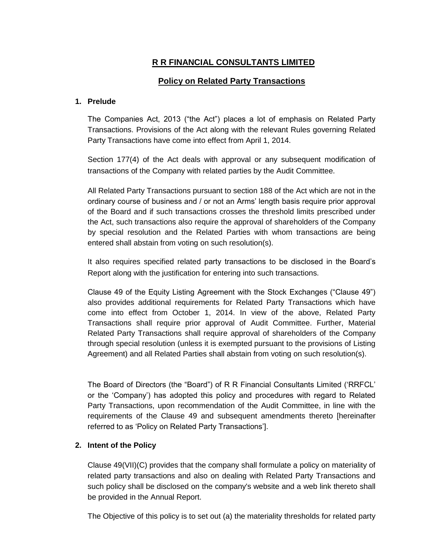# **R R FINANCIAL CONSULTANTS LIMITED**

# **Policy on Related Party Transactions**

#### **1. Prelude**

The Companies Act, 2013 ("the Act") places a lot of emphasis on Related Party Transactions. Provisions of the Act along with the relevant Rules governing Related Party Transactions have come into effect from April 1, 2014.

Section 177(4) of the Act deals with approval or any subsequent modification of transactions of the Company with related parties by the Audit Committee.

All Related Party Transactions pursuant to section 188 of the Act which are not in the ordinary course of business and / or not an Arms" length basis require prior approval of the Board and if such transactions crosses the threshold limits prescribed under the Act, such transactions also require the approval of shareholders of the Company by special resolution and the Related Parties with whom transactions are being entered shall abstain from voting on such resolution(s).

It also requires specified related party transactions to be disclosed in the Board"s Report along with the justification for entering into such transactions.

Clause 49 of the Equity Listing Agreement with the Stock Exchanges ("Clause 49") also provides additional requirements for Related Party Transactions which have come into effect from October 1, 2014. In view of the above, Related Party Transactions shall require prior approval of Audit Committee. Further, Material Related Party Transactions shall require approval of shareholders of the Company through special resolution (unless it is exempted pursuant to the provisions of Listing Agreement) and all Related Parties shall abstain from voting on such resolution(s).

The Board of Directors (the "Board") of R R Financial Consultants Limited ("RRFCL" or the "Company") has adopted this policy and procedures with regard to Related Party Transactions, upon recommendation of the Audit Committee, in line with the requirements of the Clause 49 and subsequent amendments thereto [hereinafter referred to as "Policy on Related Party Transactions"].

# **2. Intent of the Policy**

Clause 49(VII)(C) provides that the company shall formulate a policy on materiality of related party transactions and also on dealing with Related Party Transactions and such policy shall be disclosed on the company's website and a web link thereto shall be provided in the Annual Report.

The Objective of this policy is to set out (a) the materiality thresholds for related party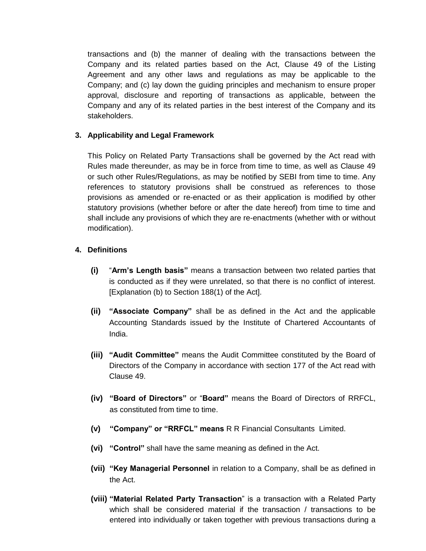transactions and (b) the manner of dealing with the transactions between the Company and its related parties based on the Act, Clause 49 of the Listing Agreement and any other laws and regulations as may be applicable to the Company; and (c) lay down the guiding principles and mechanism to ensure proper approval, disclosure and reporting of transactions as applicable, between the Company and any of its related parties in the best interest of the Company and its stakeholders.

### **3. Applicability and Legal Framework**

This Policy on Related Party Transactions shall be governed by the Act read with Rules made thereunder, as may be in force from time to time, as well as Clause 49 or such other Rules/Regulations, as may be notified by SEBI from time to time. Any references to statutory provisions shall be construed as references to those provisions as amended or re-enacted or as their application is modified by other statutory provisions (whether before or after the date hereof) from time to time and shall include any provisions of which they are re-enactments (whether with or without modification).

### **4. Definitions**

- **(i)** "**Arm's Length basis"** means a transaction between two related parties that is conducted as if they were unrelated, so that there is no conflict of interest. [Explanation (b) to Section 188(1) of the Act].
- **(ii) "Associate Company"** shall be as defined in the Act and the applicable Accounting Standards issued by the Institute of Chartered Accountants of India.
- **(iii) "Audit Committee"** means the Audit Committee constituted by the Board of Directors of the Company in accordance with section 177 of the Act read with Clause 49.
- **(iv) "Board of Directors"** or "**Board"** means the Board of Directors of RRFCL, as constituted from time to time.
- **(v) "Company" or "RRFCL" means** R R Financial Consultants Limited.
- **(vi) "Control"** shall have the same meaning as defined in the Act.
- **(vii) "Key Managerial Personnel** in relation to a Company, shall be as defined in the Act.
- **(viii) "Material Related Party Transaction**" is a transaction with a Related Party which shall be considered material if the transaction / transactions to be entered into individually or taken together with previous transactions during a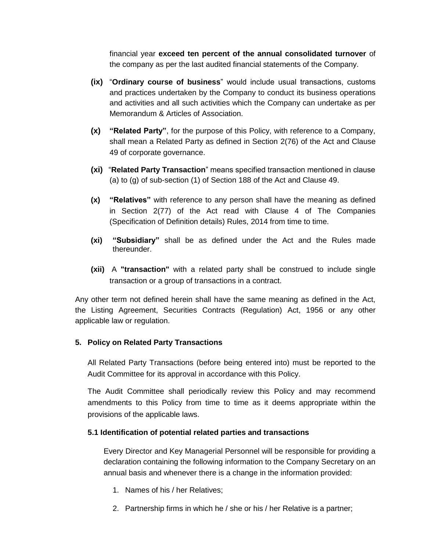financial year **exceed ten percent of the annual consolidated turnover** of the company as per the last audited financial statements of the Company.

- **(ix)** "**Ordinary course of business**" would include usual transactions, customs and practices undertaken by the Company to conduct its business operations and activities and all such activities which the Company can undertake as per Memorandum & Articles of Association.
- **(x) "Related Party"**, for the purpose of this Policy, with reference to a Company, shall mean a Related Party as defined in Section 2(76) of the Act and Clause 49 of corporate governance.
- **(xi)** "**Related Party Transaction**" means specified transaction mentioned in clause (a) to (g) of sub-section (1) of Section 188 of the Act and Clause 49.
- **(x) "Relatives"** with reference to any person shall have the meaning as defined in Section 2(77) of the Act read with Clause 4 of The Companies (Specification of Definition details) Rules, 2014 from time to time.
- **(xi) "Subsidiary"** shall be as defined under the Act and the Rules made thereunder.
- **(xii)** A **"transaction"** with a related party shall be construed to include single transaction or a group of transactions in a contract.

Any other term not defined herein shall have the same meaning as defined in the Act, the Listing Agreement, Securities Contracts (Regulation) Act, 1956 or any other applicable law or regulation.

#### **5. Policy on Related Party Transactions**

All Related Party Transactions (before being entered into) must be reported to the Audit Committee for its approval in accordance with this Policy.

The Audit Committee shall periodically review this Policy and may recommend amendments to this Policy from time to time as it deems appropriate within the provisions of the applicable laws.

# **5.1 Identification of potential related parties and transactions**

Every Director and Key Managerial Personnel will be responsible for providing a declaration containing the following information to the Company Secretary on an annual basis and whenever there is a change in the information provided:

- 1. Names of his / her Relatives;
- 2. Partnership firms in which he / she or his / her Relative is a partner;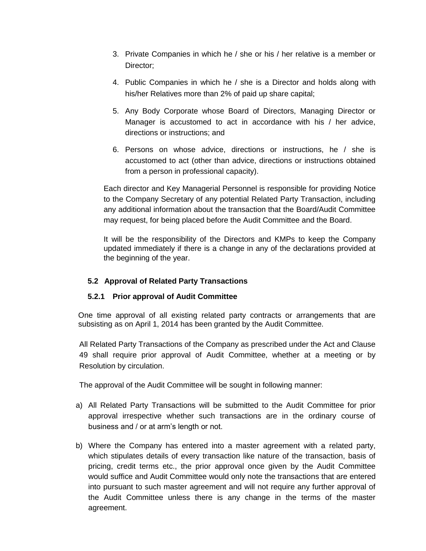- 3. Private Companies in which he / she or his / her relative is a member or Director;
- 4. Public Companies in which he / she is a Director and holds along with his/her Relatives more than 2% of paid up share capital;
- 5. Any Body Corporate whose Board of Directors, Managing Director or Manager is accustomed to act in accordance with his / her advice, directions or instructions; and
- 6. Persons on whose advice, directions or instructions, he / she is accustomed to act (other than advice, directions or instructions obtained from a person in professional capacity).

Each director and Key Managerial Personnel is responsible for providing Notice to the Company Secretary of any potential Related Party Transaction, including any additional information about the transaction that the Board/Audit Committee may request, for being placed before the Audit Committee and the Board.

It will be the responsibility of the Directors and KMPs to keep the Company updated immediately if there is a change in any of the declarations provided at the beginning of the year.

# **5.2 Approval of Related Party Transactions**

# **5.2.1 Prior approval of Audit Committee**

One time approval of all existing related party contracts or arrangements that are subsisting as on April 1, 2014 has been granted by the Audit Committee.

All Related Party Transactions of the Company as prescribed under the Act and Clause 49 shall require prior approval of Audit Committee, whether at a meeting or by Resolution by circulation.

The approval of the Audit Committee will be sought in following manner:

- a) All Related Party Transactions will be submitted to the Audit Committee for prior approval irrespective whether such transactions are in the ordinary course of business and / or at arm"s length or not.
- b) Where the Company has entered into a master agreement with a related party, which stipulates details of every transaction like nature of the transaction, basis of pricing, credit terms etc., the prior approval once given by the Audit Committee would suffice and Audit Committee would only note the transactions that are entered into pursuant to such master agreement and will not require any further approval of the Audit Committee unless there is any change in the terms of the master agreement.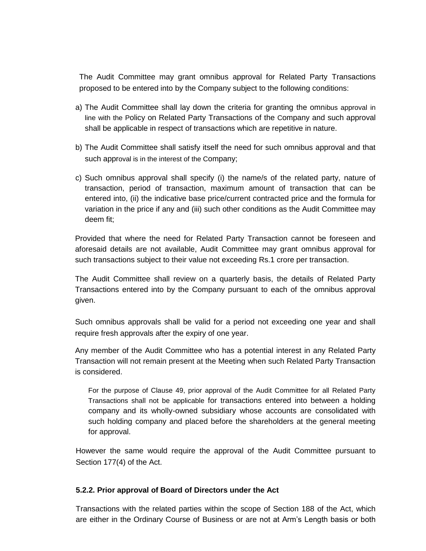The Audit Committee may grant omnibus approval for Related Party Transactions proposed to be entered into by the Company subject to the following conditions:

- a) The Audit Committee shall lay down the criteria for granting the omnibus approval in line with the Policy on Related Party Transactions of the Company and such approval shall be applicable in respect of transactions which are repetitive in nature.
- b) The Audit Committee shall satisfy itself the need for such omnibus approval and that such approval is in the interest of the Company;
- c) Such omnibus approval shall specify (i) the name/s of the related party, nature of transaction, period of transaction, maximum amount of transaction that can be entered into, (ii) the indicative base price/current contracted price and the formula for variation in the price if any and (iii) such other conditions as the Audit Committee may deem fit;

Provided that where the need for Related Party Transaction cannot be foreseen and aforesaid details are not available, Audit Committee may grant omnibus approval for such transactions subject to their value not exceeding Rs.1 crore per transaction.

The Audit Committee shall review on a quarterly basis, the details of Related Party Transactions entered into by the Company pursuant to each of the omnibus approval given.

Such omnibus approvals shall be valid for a period not exceeding one year and shall require fresh approvals after the expiry of one year.

Any member of the Audit Committee who has a potential interest in any Related Party Transaction will not remain present at the Meeting when such Related Party Transaction is considered.

For the purpose of Clause 49, prior approval of the Audit Committee for all Related Party Transactions shall not be applicable for transactions entered into between a holding company and its wholly-owned subsidiary whose accounts are consolidated with such holding company and placed before the shareholders at the general meeting for approval.

However the same would require the approval of the Audit Committee pursuant to Section 177(4) of the Act.

#### **5.2.2. Prior approval of Board of Directors under the Act**

Transactions with the related parties within the scope of Section 188 of the Act, which are either in the Ordinary Course of Business or are not at Arm"s Length basis or both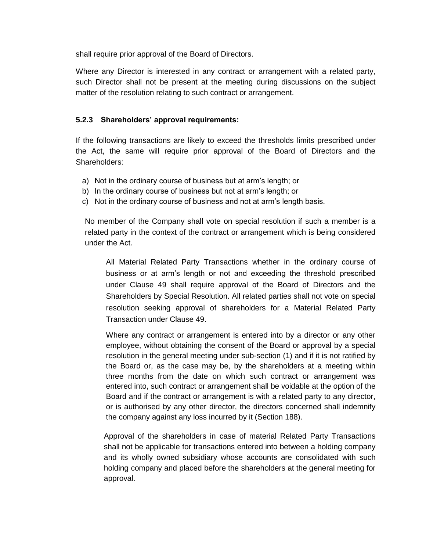shall require prior approval of the Board of Directors.

Where any Director is interested in any contract or arrangement with a related party, such Director shall not be present at the meeting during discussions on the subject matter of the resolution relating to such contract or arrangement.

### **5.2.3 Shareholders' approval requirements:**

If the following transactions are likely to exceed the thresholds limits prescribed under the Act, the same will require prior approval of the Board of Directors and the Shareholders:

- a) Not in the ordinary course of business but at arm"s length; or
- b) In the ordinary course of business but not at arm"s length; or
- c) Not in the ordinary course of business and not at arm"s length basis.

No member of the Company shall vote on special resolution if such a member is a related party in the context of the contract or arrangement which is being considered under the Act.

All Material Related Party Transactions whether in the ordinary course of business or at arm"s length or not and exceeding the threshold prescribed under Clause 49 shall require approval of the Board of Directors and the Shareholders by Special Resolution. All related parties shall not vote on special resolution seeking approval of shareholders for a Material Related Party Transaction under Clause 49.

Where any contract or arrangement is entered into by a director or any other employee, without obtaining the consent of the Board or approval by a special resolution in the general meeting under sub-section (1) and if it is not ratified by the Board or, as the case may be, by the shareholders at a meeting within three months from the date on which such contract or arrangement was entered into, such contract or arrangement shall be voidable at the option of the Board and if the contract or arrangement is with a related party to any director, or is authorised by any other director, the directors concerned shall indemnify the company against any loss incurred by it (Section 188).

Approval of the shareholders in case of material Related Party Transactions shall not be applicable for transactions entered into between a holding company and its wholly owned subsidiary whose accounts are consolidated with such holding company and placed before the shareholders at the general meeting for approval.